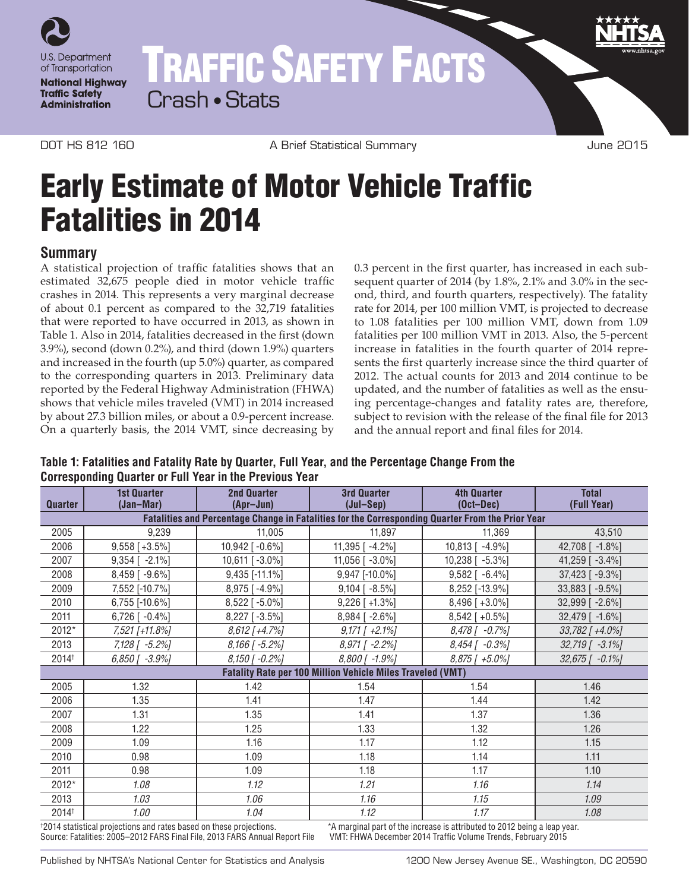

# TRAFFIC SAFETY FACTS Crash • Stats

DOT HS 812 160 **A Brief Statistical Summary Contract Summary** June 2015

# Early Estimate of Motor Vehicle Traffic Fatalities in 2014

## **Summary**

A statistical projection of traffic fatalities shows that an estimated 32,675 people died in motor vehicle traffic crashes in 2014. This represents a very marginal decrease of about 0.1 percent as compared to the 32,719 fatalities that were reported to have occurred in 2013, as shown in Table 1. Also in 2014, fatalities decreased in the first (down 3.9%), second (down 0.2%), and third (down 1.9%) quarters and increased in the fourth (up 5.0%) quarter, as compared to the corresponding quarters in 2013. Preliminary data reported by the Federal Highway Administration (FHWA) shows that vehicle miles traveled (VMT) in 2014 increased by about 27.3 billion miles, or about a 0.9-percent increase. On a quarterly basis, the 2014 VMT, since decreasing by

0.3 percent in the first quarter, has increased in each subsequent quarter of 2014 (by 1.8%, 2.1% and 3.0% in the second, third, and fourth quarters, respectively). The fatality rate for 2014, per 100 million VMT, is projected to decrease to 1.08 fatalities per 100 million VMT, down from 1.09 fatalities per 100 million VMT in 2013. Also, the 5-percent increase in fatalities in the fourth quarter of 2014 represents the first quarterly increase since the third quarter of 2012. The actual counts for 2013 and 2014 continue to be updated, and the number of fatalities as well as the ensuing percentage-changes and fatality rates are, therefore, subject to revision with the release of the final file for 2013 and the annual report and final files for 2014.

**Table 1: Fatalities and Fatality Rate by Quarter, Full Year, and the Percentage Change From the Corresponding Quarter or Full Year in the Previous Year**

| Quarter                                                                                          | <b>1st Quarter</b><br>(Jan-Mar) | <b>2nd Quarter</b><br>(Apr-Jun) | <b>3rd Quarter</b><br>$(Jul-Sep)$ | <b>4th Quarter</b><br>$(Oct-Dec)$ | <b>Total</b><br>(Full Year) |
|--------------------------------------------------------------------------------------------------|---------------------------------|---------------------------------|-----------------------------------|-----------------------------------|-----------------------------|
| Fatalities and Percentage Change in Fatalities for the Corresponding Quarter From the Prior Year |                                 |                                 |                                   |                                   |                             |
| 2005                                                                                             | 9,239                           | 11,005                          | 11,897                            | 11,369                            | 43,510                      |
| 2006                                                                                             | $9,558$ [+3.5%]                 | 10,942 [-0.6%]                  | 11,395 [ -4.2%]                   | 10,813 [ -4.9%]                   | 42,708 [ -1.8%]             |
| 2007                                                                                             | $9,354$ [ -2.1%]                | 10,611 [-3.0%]                  | 11,056 $[-3.0\%]$                 | 10,238 [ -5.3%]                   | 41,259 [ -3.4%]             |
| 2008                                                                                             | 8,459 [-9.6%]                   | 9,435 [-11.1%]                  | 9,947 [-10.0%]                    | $9,582$ [ $-6.4\%$ ]              | 37,423 [ -9.3%]             |
| 2009                                                                                             | 7,552 [-10.7%]                  | 8,975 [-4.9%]                   | $9,104$ [ $-8.5\%$ ]              | 8,252 [-13.9%]                    | 33,883 [-9.5%]              |
| 2010                                                                                             | 6,755 [-10.6%]                  | 8,522 [-5.0%]                   | $9,226$ [ +1.3%]                  | $8,496$ [ +3.0%]                  | 32,999 [ -2.6%]             |
| 2011                                                                                             | $6,726$ [ -0.4%]                | 8,227 [-3.5%]                   | 8,984 [-2.6%]                     | $8,542$ [ +0.5%]                  | 32,479 [ -1.6%]             |
| 2012*                                                                                            | 7,521 [+11.8%]                  | $8,612$ [+4.7%]                 | $9,171$ [ $+2.1\%$ ]              | $8,478$ [ $-0.7%$ ]               | $33,782$ [ +4.0%]           |
| 2013                                                                                             | 7,128 [ -5.2%]                  | $8,166$ [ -5.2%]                | $8,971$ [ -2.2%]                  | $8,454$ [ $-0.3%$ ]               | 32,719 [ -3.1%]             |
| 2014 <sup>+</sup>                                                                                | $6,850$ [ $-3.9%$ ]             | $8,150$ [ -0.2%]                | $8,800$ [ -1.9%]                  | $8,875$ [ $+5.0\%$ ]              | $32,675$ [ $-0.1\%$ ]       |
| <b>Fatality Rate per 100 Million Vehicle Miles Traveled (VMT)</b>                                |                                 |                                 |                                   |                                   |                             |
| 2005                                                                                             | 1.32                            | 1.42                            | 1.54                              | 1.54                              | 1.46                        |
| 2006                                                                                             | 1.35                            | 1.41                            | 1.47                              | 1.44                              | 1.42                        |
| 2007                                                                                             | 1.31                            | 1.35                            | 1.41                              | 1.37                              | 1.36                        |
| 2008                                                                                             | 1.22                            | 1.25                            | 1.33                              | 1.32                              | 1.26                        |
| 2009                                                                                             | 1.09                            | 1.16                            | 1.17                              | 1.12                              | 1.15                        |
| 2010                                                                                             | 0.98                            | 1.09                            | 1.18                              | 1.14                              | 1.11                        |
| 2011                                                                                             | 0.98                            | 1.09                            | 1.18                              | 1.17                              | 1.10                        |
| 2012*                                                                                            | 1.08                            | 1.12                            | 1.21                              | 1.16                              | 1.14                        |
| 2013                                                                                             | 1.03                            | 1.06                            | 1.16                              | 1.15                              | 1.09                        |
| 2014 <sup>+</sup>                                                                                | 1.00                            | 1.04                            | 1.12                              | 1.17                              | 1.08                        |

†2014 statistical projections and rates based on these projections. Source: Fatalities: 2005–2012 FARS Final File, 2013 FARS Annual Report File \*A marginal part of the increase is attributed to 2012 being a leap year.<br>VMT: FHWA December 2014 Traffic Volume Trends, February 2015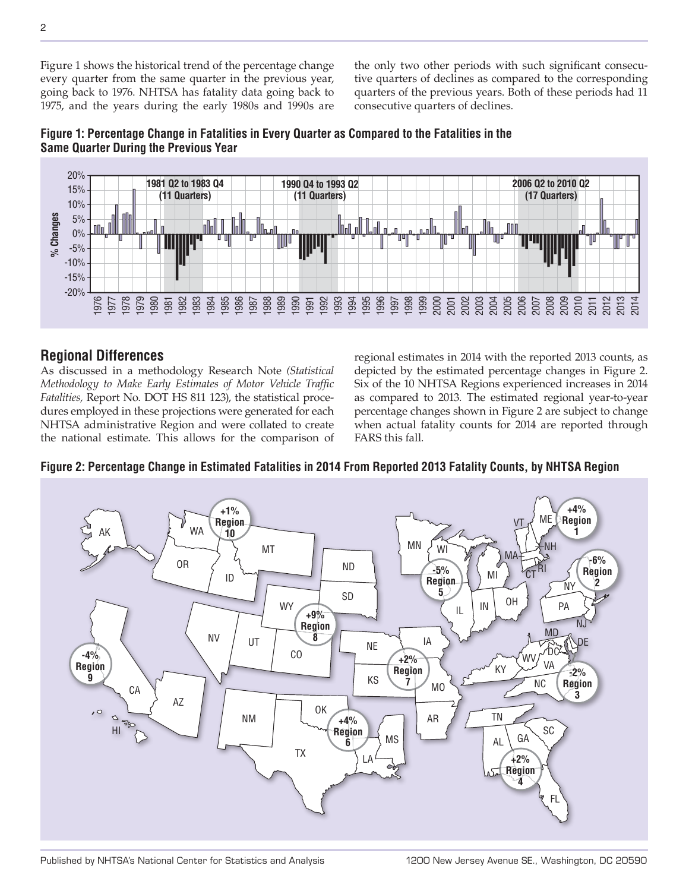Figure 1 shows the historical trend of the percentage change every quarter from the same quarter in the previous year, going back to 1976. NHTSA has fatality data going back to 1975, and the years during the early 1980s and 1990s are the only two other periods with such significant consecutive quarters of declines as compared to the corresponding quarters of the previous years. Both of these periods had 11 consecutive quarters of declines.



## **Figure 1: Percentage Change in Fatalities in Every Quarter as Compared to the Fatalities in the Same Quarter During the Previous Year**

## **Regional Differences**

As discussed in a methodology Research Note *(Statistical Methodology to Make Early Estimates of Motor Vehicle Traffic Fatalities,* Report No. DOT HS 811 123), the statistical procedures employed in these projections were generated for each NHTSA administrative Region and were collated to create the national estimate. This allows for the comparison of regional estimates in 2014 with the reported 2013 counts, as depicted by the estimated percentage changes in Figure 2. Six of the 10 NHTSA Regions experienced increases in 2014 as compared to 2013. The estimated regional year-to-year percentage changes shown in Figure 2 are subject to change when actual fatality counts for 2014 are reported through FARS this fall.

### **Figure 2: Percentage Change in Estimated Fatalities in 2014 From Reported 2013 Fatality Counts, by NHTSA Region**



Published by NHTSA's National Center for Statistics and Analysis 1200 New Jersey Avenue SE., Washington, DC 20590